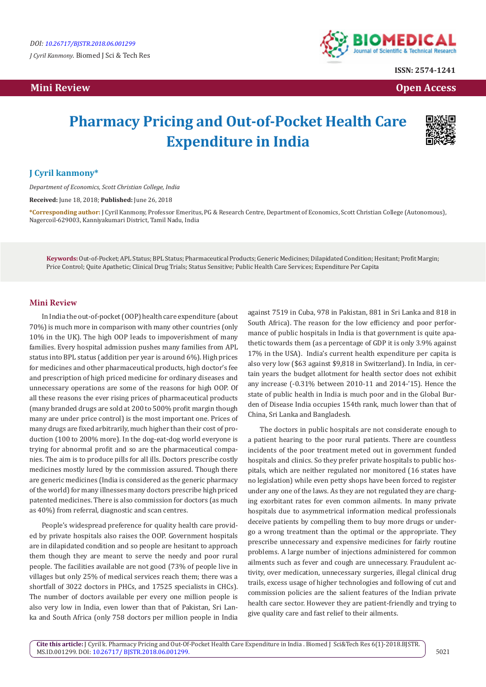**Mini Review Open Access** 



**ISSN: 2574-1241**

## **Pharmacy Pricing and Out-of-Pocket Health Care Expenditure in India**



## **J Cyril kanmony\***

*Department of Economics, Scott Christian College, India*

**Received:** June 18, 2018; **Published:** June 26, 2018

**\*Corresponding author:** J Cyril Kanmony, Professor Emeritus, PG & Research Centre, Department of Economics, Scott Christian College (Autonomous), Nagercoil-629003, Kanniyakumari District, Tamil Nadu, India

**Keywords:** Out-of-Pocket; APL Status; BPL Status; Pharmaceutical Products; Generic Medicines; Dilapidated Condition; Hesitant; Profit Margin; Price Control; Quite Apathetic; Clinical Drug Trials; Status Sensitive; Public Health Care Services; Expenditure Per Capita

## **Mini Review**

In India the out-of-pocket (OOP) health care expenditure (about 70%) is much more in comparison with many other countries (only 10% in the UK). The high OOP leads to impoverishment of many families. Every hospital admission pushes many families from APL status into BPL status (addition per year is around 6%). High prices for medicines and other pharmaceutical products, high doctor's fee and prescription of high priced medicine for ordinary diseases and unnecessary operations are some of the reasons for high OOP. Of all these reasons the ever rising prices of pharmaceutical products (many branded drugs are sold at 200 to 500% profit margin though many are under price control) is the most important one. Prices of many drugs are fixed arbitrarily, much higher than their cost of production (100 to 200% more). In the dog-eat-dog world everyone is trying for abnormal profit and so are the pharmaceutical companies. The aim is to produce pills for all ills. Doctors prescribe costly medicines mostly lured by the commission assured. Though there are generic medicines (India is considered as the generic pharmacy of the world) for many illnesses many doctors prescribe high priced patented medicines. There is also commission for doctors (as much as 40%) from referral, diagnostic and scan centres.

People's widespread preference for quality health care provided by private hospitals also raises the OOP. Government hospitals are in dilapidated condition and so people are hesitant to approach them though they are meant to serve the needy and poor rural people. The facilities available are not good (73% of people live in villages but only 25% of medical services reach them; there was a shortfall of 3022 doctors in PHCs, and 17525 specialists in CHCs). The number of doctors available per every one million people is also very low in India, even lower than that of Pakistan, Sri Lanka and South Africa (only 758 doctors per million people in India

against 7519 in Cuba, 978 in Pakistan, 881 in Sri Lanka and 818 in South Africa). The reason for the low efficiency and poor performance of public hospitals in India is that government is quite apathetic towards them (as a percentage of GDP it is only 3.9% against 17% in the USA). India's current health expenditure per capita is also very low (\$63 against \$9,818 in Switzerland). In India, in certain years the budget allotment for health sector does not exhibit any increase (-0.31% between 2010-11 and 2014-'15). Hence the state of public health in India is much poor and in the Global Burden of Disease India occupies 154th rank, much lower than that of China, Sri Lanka and Bangladesh.

The doctors in public hospitals are not considerate enough to a patient hearing to the poor rural patients. There are countless incidents of the poor treatment meted out in government funded hospitals and clinics. So they prefer private hospitals to public hospitals, which are neither regulated nor monitored (16 states have no legislation) while even petty shops have been forced to register under any one of the laws. As they are not regulated they are charging exorbitant rates for even common ailments. In many private hospitals due to asymmetrical information medical professionals deceive patients by compelling them to buy more drugs or undergo a wrong treatment than the optimal or the appropriate. They prescribe unnecessary and expensive medicines for fairly routine problems. A large number of injections administered for common ailments such as fever and cough are unnecessary. Fraudulent activity, over medication, unnecessary surgeries, illegal clinical drug trails, excess usage of higher technologies and following of cut and commission policies are the salient features of the Indian private health care sector. However they are patient-friendly and trying to give quality care and fast relief to their ailments.